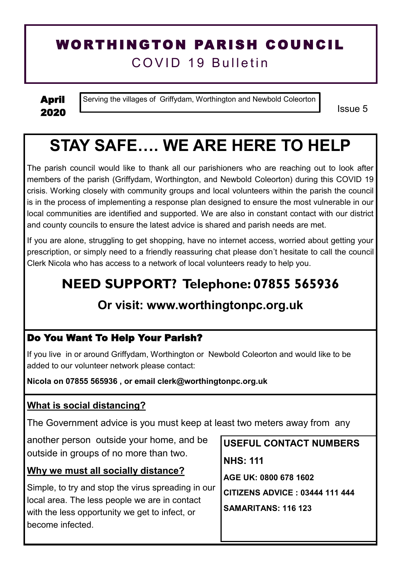## WORTHINGTON PARISH COUNCIL COVID 19 Bulletin

April 2020

Serving the villages of Griffydam, Worthington and Newbold Coleorton

Issue 5

# **STAY SAFE…. WE ARE HERE TO HELP**

The parish council would like to thank all our parishioners who are reaching out to look after members of the parish (Griffydam, Worthington, and Newbold Coleorton) during this COVID 19 crisis. Working closely with community groups and local volunteers within the parish the council is in the process of implementing a response plan designed to ensure the most vulnerable in our local communities are identified and supported. We are also in constant contact with our district and county councils to ensure the latest advice is shared and parish needs are met.

If you are alone, struggling to get shopping, have no internet access, worried about getting your prescription, or simply need to a friendly reassuring chat please don't hesitate to call the council Clerk Nicola who has access to a network of local volunteers ready to help you.

# **NEED SUPPORT? Telephone: 07855 565936**

### **Or visit: www.worthingtonpc.org.uk**

#### Do You Want To Help Your Parish?

If you live in or around Griffydam, Worthington or Newbold Coleorton and would like to be added to our volunteer network please contact:

**Nicola on 07855 565936 , or email clerk@worthingtonpc.org.uk**

#### **What is social distancing?**

The Government advice is you must keep at least two meters away from any

another person outside your home, and be outside in groups of no more than two.

#### **Why we must all socially distance?**

Simple, to try and stop the virus spreading in our local area. The less people we are in contact with the less opportunity we get to infect, or become infected.

**USEFUL CONTACT NUMBERS NHS: 111 AGE UK: 0800 678 1602 CITIZENS ADVICE : 03444 111 444 SAMARITANS: 116 123**